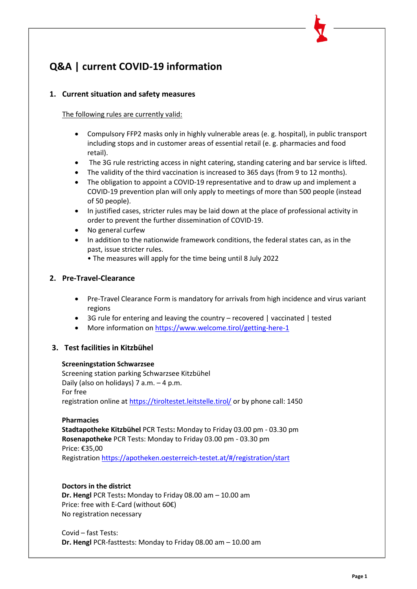# **Q&A | current COVID-19 information**

# **1. Current situation and safety measures**

The following rules are currently valid:

- Compulsory FFP2 masks only in highly vulnerable areas (e. g. hospital), in public transport including stops and in customer areas of essential retail (e. g. pharmacies and food retail).
- The 3G rule restricting access in night catering, standing catering and bar service is lifted.
- The validity of the third vaccination is increased to 365 days (from 9 to 12 months).
- The obligation to appoint a COVID-19 representative and to draw up and implement a COVID-19 prevention plan will only apply to meetings of more than 500 people (instead of 50 people).
- In justified cases, stricter rules may be laid down at the place of professional activity in order to prevent the further dissemination of COVID-19.
- No general curfew
- In addition to the nationwide framework conditions, the federal states can, as in the past, issue stricter rules.
	- The measures will apply for the time being until 8 July 2022

## **2. [Pre-Travel-Clearance](https://entry.ptc.gv.at/)**

- Pre-Travel Clearance Form is mandatory for arrivals from high incidence and virus variant regions
- 3G rule for entering and leaving the country recovered | vaccinated | tested
- More information o[n https://www.welcome.tirol/getting-here-1](https://www.welcome.tirol/getting-here-1)

## **3. Test facilities in Kitzbühel**

#### **Screeningstation Schwarzsee**

Screening station parking Schwarzsee Kitzbühel Daily (also on holidays) 7 a.m. – 4 p.m. For free registration online a[t https://tiroltestet.leitstelle.tirol/](https://tiroltestet.leitstelle.tirol/) or by phone call: 1450

#### **Pharmacies**

**Stadtapotheke Kitzbühel** PCR Tests**:** Monday to Friday 03.00 pm - 03.30 pm **Rosenapotheke** PCR Tests: Monday to Friday 03.00 pm - 03.30 pm Price: €35,00 Registration [https://apotheken.oesterreich-testet.at/#/registration/start](https://apotheken.oesterreich-testet.at/%23/registration/start)

#### **Doctors in the district**

**Dr. Hengl** PCR Tests**:** Monday to Friday 08.00 am – 10.00 am Price: free with E-Card (without 60€) No registration necessary

Covid – fast Tests: **Dr. Hengl** PCR-fasttests: Monday to Friday 08.00 am – 10.00 am